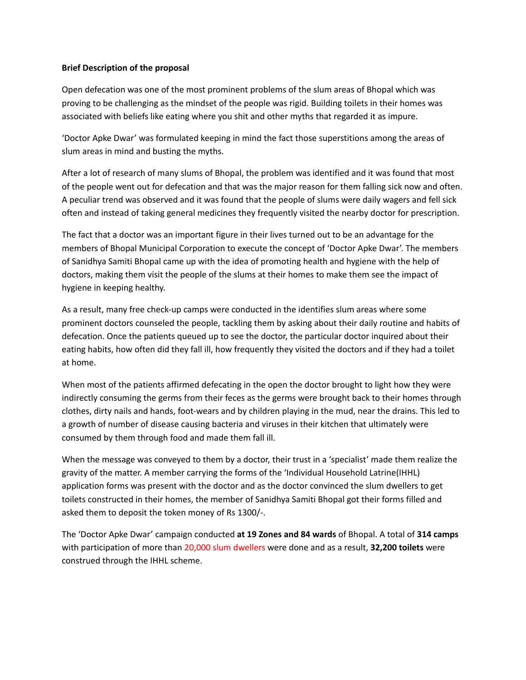## **Brief Description of the proposal**

Open defecation was one of the most prominent problems of the slum areas of Bhopal which was proving to be challenging as the mindset of the people was rigid. Building toilets in their homes was associated with beliefs like eating where you shit and other myths that regarded it as impure.

'Doctor Apke Dwar' was formulated keeping in mind the fact those superstitions among the areas of slum areas in mind and busting the myths.

After a lot of research of many slums of Bhopal, the problem was identified and it was found that most of the people went out for defecation and that was the major reason for them falling sick now and often. A peculiar trend was observed and it was found that the people of slums were daily wagers and fell sick often and instead of taking general medicines they frequently visited the nearby doctor for prescription.

The fact that a doctor was an important figure in their lives turned out to be an advantage for the members of Bhopal Municipal Corporation to execute the concept of 'Doctor Apke Dwar'. The members of Sanidhya Samiti Bhopal came up with the idea of promoting health and hygiene with the help of doctors, making them visit the people of the slums at their homes to make them see the impact of hygiene in keeping healthy.

As a result, many free check-up camps were conducted in the identifies slum areas where some prominent doctors counseled the people, tackling them by asking about their daily routine and habits of defecation. Once the patients queued up to see the doctor, the particular doctor inquired about their eating habits, how often did they fall ill, how frequently they visited the doctors and if they had a toilet at home.

When most of the patients affirmed defecating in the open the doctor brought to light how they were indirectly consuming the germs from their feces as the germs were brought back to their homes through clothes, dirty nails and hands, foot-wears and by children playing in the mud, near the drains. This led to a growth of number of disease causing bacteria and viruses in their kitchen that ultimately were consumed by them through food and made them fall ill.

When the message was conveyed to them by a doctor, their trust in a 'specialist' made them realize the gravity of the matter. A member carrying the forms of the 'Individual Household Latrine(IHHL) application forms was present with the doctor and as the doctor convinced the slum dwellers to get toilets constructed in their homes, the member of Sanidhya Samiti Bhopal got their forms filled and asked them to deposit the token money of Rs 1300/-.

The 'Doctor Apke Dwar' campaign conducted **at 19 Zones and 84 wards** of Bhopal. A total of **314 camps** with participation of more than 20,000 slum dwellers were done and as a result, **32,200 toilets** were construed through the IHHL scheme.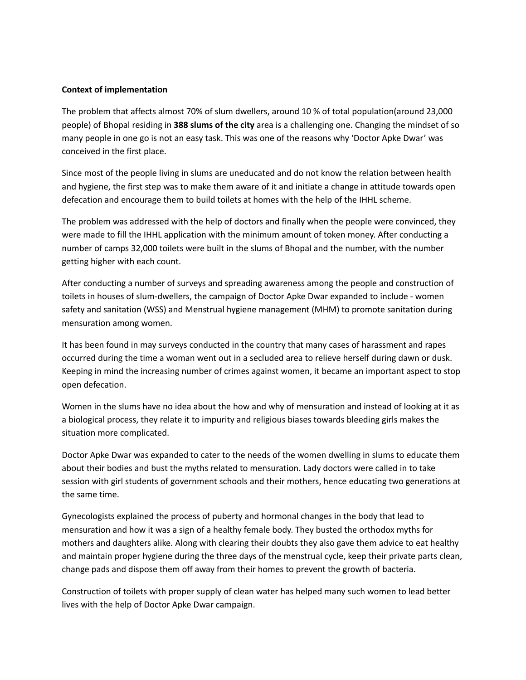## **Context of implementation**

The problem that affects almost 70% of slum dwellers, around 10 % of total population(around 23,000 people) of Bhopal residing in **388 slums of the city** area is a challenging one. Changing the mindset of so many people in one go is not an easy task. This was one of the reasons why 'Doctor Apke Dwar' was conceived in the first place.

Since most of the people living in slums are uneducated and do not know the relation between health and hygiene, the first step was to make them aware of it and initiate a change in attitude towards open defecation and encourage them to build toilets at homes with the help of the IHHL scheme.

The problem was addressed with the help of doctors and finally when the people were convinced, they were made to fill the IHHL application with the minimum amount of token money. After conducting a number of camps 32,000 toilets were built in the slums of Bhopal and the number, with the number getting higher with each count.

After conducting a number of surveys and spreading awareness among the people and construction of toilets in houses of slum-dwellers, the campaign of Doctor Apke Dwar expanded to include - women safety and sanitation (WSS) and Menstrual hygiene management (MHM) to promote sanitation during mensuration among women.

It has been found in may surveys conducted in the country that many cases of harassment and rapes occurred during the time a woman went out in a secluded area to relieve herself during dawn or dusk. Keeping in mind the increasing number of crimes against women, it became an important aspect to stop open defecation.

Women in the slums have no idea about the how and why of mensuration and instead of looking at it as a biological process, they relate it to impurity and religious biases towards bleeding girls makes the situation more complicated.

Doctor Apke Dwar was expanded to cater to the needs of the women dwelling in slums to educate them about their bodies and bust the myths related to mensuration. Lady doctors were called in to take session with girl students of government schools and their mothers, hence educating two generations at the same time.

Gynecologists explained the process of puberty and hormonal changes in the body that lead to mensuration and how it was a sign of a healthy female body. They busted the orthodox myths for mothers and daughters alike. Along with clearing their doubts they also gave them advice to eat healthy and maintain proper hygiene during the three days of the menstrual cycle, keep their private parts clean, change pads and dispose them off away from their homes to prevent the growth of bacteria.

Construction of toilets with proper supply of clean water has helped many such women to lead better lives with the help of Doctor Apke Dwar campaign.